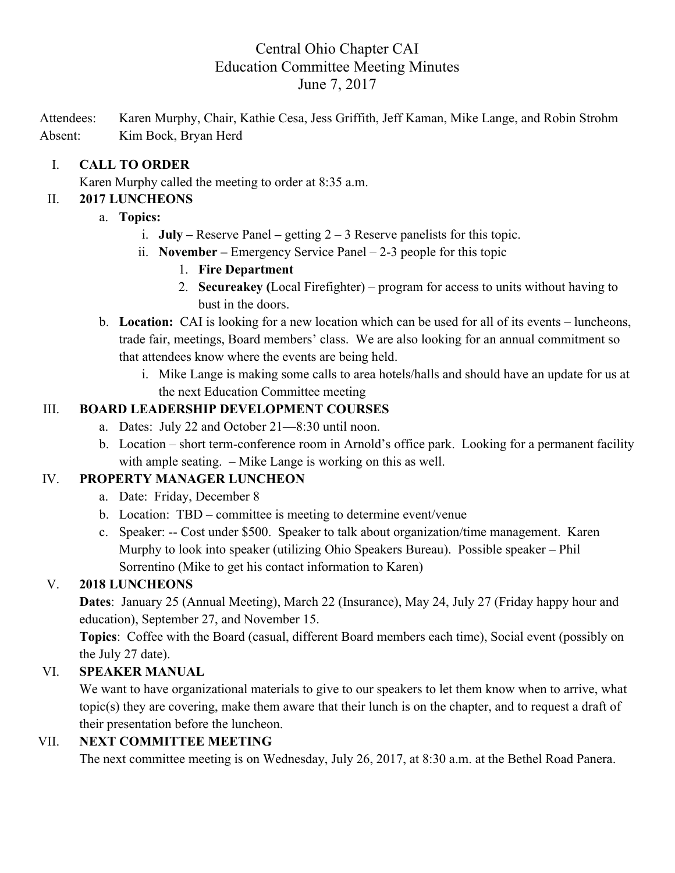# Central Ohio Chapter CAI Education Committee Meeting Minutes June 7, 2017

Attendees: Karen Murphy, Chair, Kathie Cesa, Jess Griffith, Jeff Kaman, Mike Lange, and Robin Strohm Absent: Kim Bock, Bryan Herd

#### I. **CALL TO ORDER**

Karen Murphy called the meeting to order at 8:35 a.m.

#### II. **2017 LUNCHEONS**

- a. **Topics:**
	- i. **July –** Reserve Panel **–** getting 2 3 Reserve panelists for this topic.
	- ii. **November –** Emergency Service Panel 2-3 people for this topic
		- 1. **Fire Department**
		- 2. **Secureakey (**Local Firefighter) program for access to units without having to bust in the doors.
- b. **Location:** CAI is looking for a new location which can be used for all of its events luncheons, trade fair, meetings, Board members' class. We are also looking for an annual commitment so that attendees know where the events are being held.
	- i. Mike Lange is making some calls to area hotels/halls and should have an update for us at the next Education Committee meeting

# III. **BOARD LEADERSHIP DEVELOPMENT COURSES**

- a. Dates: July 22 and October 21—8:30 until noon.
- b. Location short term-conference room in Arnold's office park. Looking for a permanent facility with ample seating. – Mike Lange is working on this as well.

# IV. **PROPERTY MANAGER LUNCHEON**

- a. Date: Friday, December 8
- b. Location: TBD committee is meeting to determine event/venue
- c. Speaker: -- Cost under \$500. Speaker to talk about organization/time management. Karen Murphy to look into speaker (utilizing Ohio Speakers Bureau). Possible speaker – Phil Sorrentino (Mike to get his contact information to Karen)

# V. **2018 LUNCHEONS**

**Dates**: January 25 (Annual Meeting), March 22 (Insurance), May 24, July 27 (Friday happy hour and education), September 27, and November 15.

**Topics**: Coffee with the Board (casual, different Board members each time), Social event (possibly on the July 27 date).

# VI. **SPEAKER MANUAL**

We want to have organizational materials to give to our speakers to let them know when to arrive, what topic(s) they are covering, make them aware that their lunch is on the chapter, and to request a draft of their presentation before the luncheon.

# VII. **NEXT COMMITTEE MEETING**

The next committee meeting is on Wednesday, July 26, 2017, at 8:30 a.m. at the Bethel Road Panera.